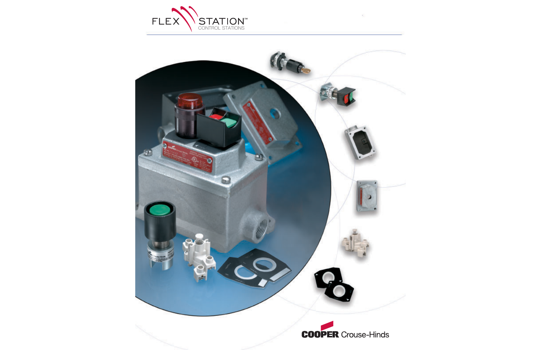

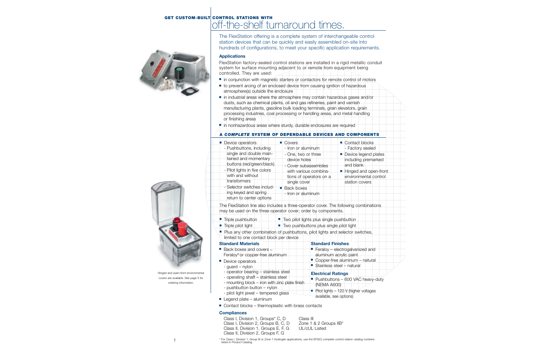# **GET CUSTOM-BUILT CONTROL STATIONS WITH** off-the-shelf turnaround times.



The FlexStation offering is a complete system of interchangeable control station devices that can be quickly and easily assembled on-site into hundreds of configurations, to meet your specific application requirements.

### **Applications**

FlexStation factory-sealed control stations are installed in a rigid metallic conduit system for surface mounting adjacent to or remote from equipment being controlled. They are used:

- in conjunction with magnetic starters or contactors for remote control of motors
- to prevent arcing of an enclosed device from causing ignition of hazardous atmosphere(s) outside the enclosure
- in industrial areas where the atmosphere may contain hazardous gases and/or dusts, such as chemical plants, oil and gas refineries, paint and varnish manufacturing plants, gasoline bulk loading terminals, grain elevators, grain processing industries, coal processing or handling areas, and metal handling or finishing areas

■ in nonhazardous areas where sturdy, durable enclosures are required

# **A** *COMPLETE* **SYSTEM OF DEPENDABLE DEVICES AND COMPONENTS**

| Device operators                                                                | ■ Covers                           | ■ Contact blocks      |
|---------------------------------------------------------------------------------|------------------------------------|-----------------------|
| - Pushbuttons, including                                                        | - Iron or aluminum                 | - Factory sealed      |
| single and double main-                                                         | - One, two or three                | Device legend plates  |
| tained and momentary                                                            | device holes                       | including premarked   |
| buttons (red/green/black)                                                       | - Cover subassemblies              | and blank             |
| - Pilot lights in five colors                                                   | with various combina-              | Hinged and open-front |
| with and without                                                                | tions of operators on a            | environmental control |
| transformers                                                                    | single cover                       | station covers        |
| - Selector switches includ-<br>ing keyed and spring<br>return to center options | ■ Back boxes<br>- Iron or aluminum |                       |

The FlexStation line also includes a three-operator cover. The following combinations may be used on the three-operator cover; order by components.

- Triple pushbutton Two pilot lights plus single pushbutton
- Triple pilot light Two pushbuttons plus single pilot light
- Plus any other combination of pushbuttons, pilot lights and selector switches, limited to one contact block per device

### **Standard Materials**

- Back boxes and covers Feraloy® or copper-free aluminum
- Device operators
	- guard nylon
	- operator bearing stainless steel
	- operating shaft stainless steel
	- mounting block iron with zinc plate finish
	- pushbutton button nylon
- pilot light jewel tempered glass
- Legend plate aluminum
- Contact blocks thermoplastic with brass contacts

### **Compliances**

Class I, Division 1, Groups<sup>\*</sup> C, D Class III<br>Class I, Division 2, Groups B, C, D Zone 1 & 2 Groups IIB<sup>\*</sup> Class I, Division 2, Groups B, C, D Class II, Division 1, Groups E, F, G UL/cUL Listed Class II, Division 2, Groups F, G

■ Feraloy – electrogalvanized and aluminum acrylic paint ■ Copper-free aluminum – natural

■ Pushbuttons – 600 VAC heavy-duty

■ Pilot lights – 120 V (higher voltages

■ Stainless steel  $+$  natural

available, see options)

**Standard Finishes**

(NEMA A600)

**Electrical Ratings**



Hinged and open-front environmental covers are available. See page 5 for ordering information.

> \* For Class I, Division 1, Group B or Zone 1 Hydrogen applications, use the EFS(C) complete control station catalog numbers listed in Product Catalog.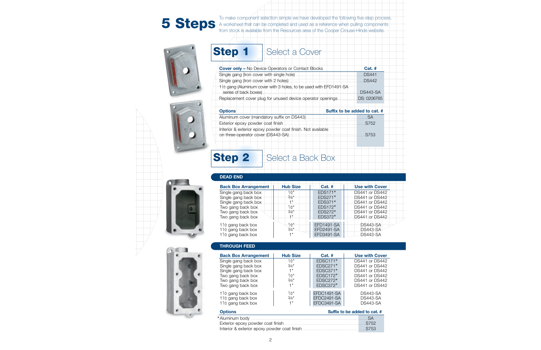To make component selection simple we have developed the following five-step process. **Steps** A worksheet that can be completed and used as a reference when pulling components from stock is available from the Resources area of the Cooper Crouse-Hinds website.





| e<br>TV. | <b>C</b> |  |
|----------|----------|--|
| -        |          |  |
|          |          |  |

# Select a Cover

| <b>Cover only - No Device Operators or Contact Blocks</b>        | <b>Cat. #</b>   |
|------------------------------------------------------------------|-----------------|
|                                                                  | <b>DS441</b>    |
|                                                                  | <b>DS442</b>    |
| 1½ gang (Aluminum cover with 3 holes, to be used with EFD1491-SA |                 |
| series of back boxes)                                            | <b>DS443-SA</b> |
| Replacement cover plug for unused device operator openings       | .DS: 0206765    |
|                                                                  |                 |

| <b>Options</b>                                                                                    | Suffix to be added to cat. # |
|---------------------------------------------------------------------------------------------------|------------------------------|
|                                                                                                   |                              |
|                                                                                                   | $\sim$ S752                  |
| Interior & exterior epoxy powder coat finish. Not available<br>on three-operator cover (DS443-SA) | S753                         |

# **Step 2** Select a Back Box

# **DEAD END**

| <b>Back Box Arrangement</b>  | <b>Hub Size</b> | <b>Cat. #</b>     | <b>Use with Cover</b> |
|------------------------------|-----------------|-------------------|-----------------------|
| Single gang back box         | $\frac{1}{2}$ " | EDS171*           | <b>DS441</b> or DS442 |
| Single gang back box         | $3/4$ "         | $EDS271*$         | DS441 or DS442        |
| Single gang back box         | 1"              | $EDS371*$         | DS441 or DS442        |
| Two gang back box.           | $\frac{1}{2}$ " | $EDS172*$         | DS441 or DS442        |
| Two gang back box            | 3/4"            | $EDS272*$         | DS441 or DS442        |
| Two gang back box            | 1 "             | EDS372*           | DS441 or DS442        |
| $1\frac{1}{2}$ gang back box | $1/2$ "         | <b>EFD1491-SA</b> | <b>DS443-SA</b>       |
| 11/2 gang back box           | $3/4$ "         | <b>EFD2491-SA</b> | <b>DS443-SA</b>       |
| $1\frac{1}{2}$ gang back box | 1"              | EFD3491-SA        | <b>DS443-SA</b>       |

# **THROUGH FEED**

| <b>Back Box Arrangement</b>                    | <b>Hub Size</b> | $Cat.$ #    | <b>Use with Cover</b> |
|------------------------------------------------|-----------------|-------------|-----------------------|
| Single gang back box                           | $1/2$ "         | $EDSC171*$  | DS441 or DS442        |
| Single gang back box                           | 3/4"            | $EDSC271*$  | <b>DS441 or DS442</b> |
| Single gang back box                           | 1"              | $EDSC371*$  | <b>DS441 or DS442</b> |
| Two gang back box                              | 1⁄2"            | $EDSC172*$  | <b>DS441 or DS442</b> |
| Two gang back box                              | 3/4"            | $EDSC272*$  | <b>DS441 or DS442</b> |
| Two gang back box                              | 1"              | $EDSC372*$  | <b>DS441 or DS442</b> |
| 1 $\frac{1}{2}$ gang back box                  | $\frac{1}{2}$ " | EFDC1491-SA | <b>DS443-SA</b>       |
| $1\frac{1}{2}$ gang back box                   | 3/4"            | EFDC2491-SA | <b>DS443-SA</b>       |
| 11/2 gang back box                             | 1"              | EFDC3491-SA | <b>DS443-SA</b>       |
| Suffix to be added to cat. #<br><b>Options</b> |                 |             |                       |

| Exterior epoxy powder coat finish <b>contract to the set of the State State</b> ST52 |  |
|--------------------------------------------------------------------------------------|--|
|                                                                                      |  |



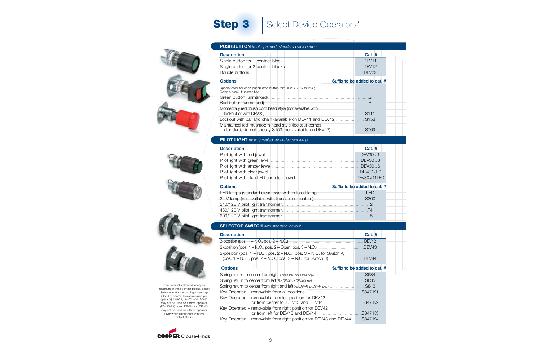







\*Each control station will accept a maximum of three contact blocks. Select device operators accordingly (see step 4 for # of contact blocks required per operator). DEV12, DEV22 and DEV44 may not be used on a three-operator (DS443-SA) cover. DEV42 and DEV43 may not be used on a three-operator cover when using them with two contact blocks.



### **PILOT LIGHT** *factory sealed, incandescent lamp*

**PUSHBUTTON** *front operated, standard black button*

| <b>Description</b>           | $Cat.$ #                     |
|------------------------------|------------------------------|
|                              | DEV30 J1                     |
|                              | <b>DEV30 J3</b>              |
|                              | <b>DEV30 J6</b>              |
| Pilot light with clear jewel | <b>DEV30 J10</b>             |
|                              | DEV30 J11LED                 |
| <b>Options</b>               | Suffix to be added to cat. # |
|                              |                              |
|                              | S300                         |
|                              | .T2                          |
|                              | T4                           |
|                              |                              |

## **SELECTOR SWITCH** *with standard lockout*

| <b>Description</b>                                                                          | $Cat.$ #                     |
|---------------------------------------------------------------------------------------------|------------------------------|
| 2-position (pos. $1 - N.O.,$ pos. $2 - N.C.$ )                                              | DEV <sub>42</sub>            |
| 3-position (pos. 1 – N.O., pos. 2 – Open, pos. 3 – N.C.)                                    | DEV43                        |
| 3-position (pos. $1 - N.C.,$ pos. $2 - N.O.,$ pos. $3 - N.O.$ for Switch A)                 | DEV44                        |
| <b>Options</b>                                                                              | Suffix to be added to cat. # |
|                                                                                             | .S634                        |
|                                                                                             | S635                         |
|                                                                                             |                              |
|                                                                                             | S847 K1                      |
| Key Operated - removable from left position for DEV42<br>or from center for DEV43 and DEV44 | S847 K2                      |
| Key Operated – removable from right position for DEV42<br>or from left for DFV43 and DFV44  | S847 K3                      |
| Key Operated – removable from right position for DEV43 and DEV44                            | .S847 K4                     |

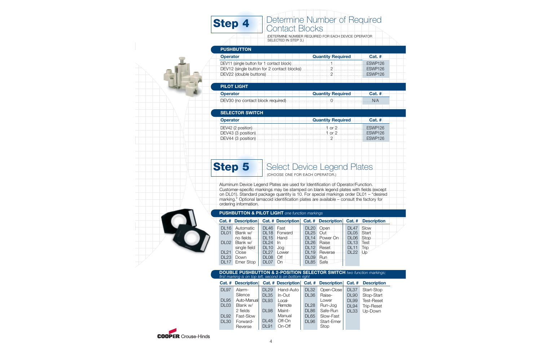# **Step 4** Determine Number of Required Contact Blocks

(DETERMINE NUMBER REQUIRED FOR EACH DEVICE OPERATOR SELECTED IN STEP 3.)

# **PUSHBUTTON**

| <b>Operator</b> | <b>Quantity Required</b> | $Cat.$ # |
|-----------------|--------------------------|----------|
|                 |                          | FSWP126  |
|                 |                          | FSWP126  |
|                 |                          | FSWP126  |
|                 |                          |          |

# **PILOT LIGHT**

| <b>Operator</b> | <b>Quantity Required</b> | Cat. # |
|-----------------|--------------------------|--------|
|                 |                          |        |

# **SELECTOR SWITCH**

| <b>Operator</b>    | <b>Quantity Required</b> | $Cat.$ #       |
|--------------------|--------------------------|----------------|
|                    |                          |                |
| DEV43 (3 position) | 1 or $21$                | <b>ESWP126</b> |
|                    |                          | <b>FSWP126</b> |

# **Step 5** Select Device Legend Plates

(CHOOSE ONE FOR EACH OPERATOR.)

Aluminum Device Legend Plates are used for Identification of Operator/Function. Customer-specific markings may be stamped on blank legend plates with fields (except on DL01). Standard package quantity is 10. For special markings order DL01 – "desired marking." Optional lamacoid identification plates are available – consult the factory for ordering information.

# **PUSHBUTTON & PILOT LIGHT** *one function markings*

|                  | <b>Cat. # Description</b> |                  |                  |                  |          |                  | Cat. # Description Cat. # Description Cat. # Description |
|------------------|---------------------------|------------------|------------------|------------------|----------|------------------|----------------------------------------------------------|
| <b>DL16</b>      | Automatic                 | <b>DL46</b>      | Fast             | <b>DL20</b>      | Open     | DL <sub>47</sub> | Slow                                                     |
| DL <sub>01</sub> | Blank w/                  |                  | DL18 Forward     | DL25             | Out      | DL05             | Start                                                    |
|                  | no fields                 |                  | DL15 Hand        | DL14             | Power On | DL <sub>06</sub> | <b>Stop</b>                                              |
| DL02             | Blank w/                  | DL24             | ln.              | <b>DL26</b>      | Raise    | <b>DL13</b>      | <b>Test</b>                                              |
|                  | single field              | <b>DL10</b>      | Jog              | <b>DL12</b>      | Reset    | <b>DL11</b>      | Trip                                                     |
| <b>DL21</b>      | Close                     |                  | DL27 Lower       | <b>DL19</b>      | Reverse  | <b>DL22</b>      | -Up                                                      |
| <b>DL23</b>      | Down                      | DL <sub>08</sub> | $\overline{Off}$ | <b>DL09</b>      | Run      |                  |                                                          |
|                  | DL17 Emer Stop            | DL <sub>07</sub> | On               | DL <sub>85</sub> | Safe     |                  |                                                          |

### **DOUBLE PUSHBUTTON & 2-POSITION SELECTOR SWITCH** *two function markings; first marking is on top left, second is on bottom right*

|                  | <b>Cat. # Description</b> |             | <b>Cat. # Description</b> |             | Cat. # Description Cat. # |             | <b>Description</b> |
|------------------|---------------------------|-------------|---------------------------|-------------|---------------------------|-------------|--------------------|
| <b>DL97</b>      | Alarm-                    | $DI$ 29     | Hand-Auto                 | <b>DL32</b> | Open-Close                | DL37        | Start-Stop         |
|                  | Silence                   | <b>DL35</b> | $In$ -Out                 | <b>DL36</b> | Raise-                    | <b>DL90</b> | Stop-Start         |
| <b>DL95</b>      | Auto-Manual               | <b>DL93</b> | $Local-$                  |             | Lower                     | <b>DL99</b> | <b>Test-Reset</b>  |
| DL <sub>03</sub> | Blank w/                  |             | Remote                    | <b>DL28</b> | Run-Jog                   | <b>DL94</b> | <b>Trip-Reset</b>  |
|                  | 2 fields                  | <b>DL98</b> | Maint-                    | <b>DL86</b> | Safe-Run                  | <b>DL33</b> | Up-Down            |
| <b>DL92</b>      | Fast-Slow                 |             | Manual                    | <b>DL65</b> | Slow-Fast                 |             |                    |
| <b>DL30</b>      | Forward-                  | <b>DL48</b> | Off-On                    | <b>DL96</b> | Start-Emer                |             |                    |
|                  | Reverse                   | <b>DL91</b> | On-Off                    |             | Stop                      |             |                    |



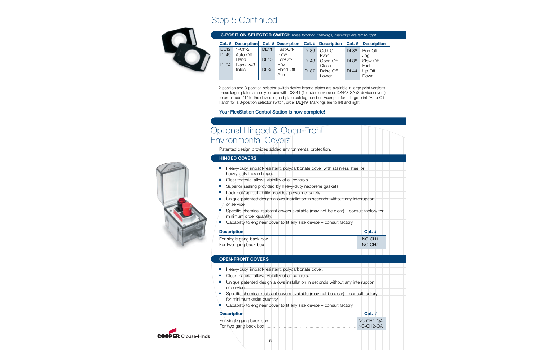# Step 5 Continued



| 3-POSITION SELECTOR SWITCH three function markings; markings are left to right |                                                        |                                           |                                                           |                                                |                                                               |                                           |                                                         |
|--------------------------------------------------------------------------------|--------------------------------------------------------|-------------------------------------------|-----------------------------------------------------------|------------------------------------------------|---------------------------------------------------------------|-------------------------------------------|---------------------------------------------------------|
| $Cat.$ #                                                                       | <b>Description</b>                                     |                                           | Cat. # Description                                        |                                                | Cat. # Description                                            | <b>Cat. #</b>                             | <b>Description</b>                                      |
| <b>DL42</b><br><b>DL49</b><br>DL <sub>04</sub>                                 | $1$ -Off-2<br>Auto-Off-<br>Hand<br>Blank w/3<br>fields | <b>DL41</b><br><b>DL40</b><br><b>DL39</b> | Fast-Off-<br>Slow<br>For-Off-<br>Rev<br>Hand-Off-<br>Auto | <b>DL89</b><br><b>DL43</b><br>DL <sub>87</sub> | Odd-Off-<br>Even<br>Open-Off-<br>Close<br>Raise-Off-<br>Lower | <b>DL38</b><br><b>DL88</b><br><b>DL44</b> | Run-Off-<br>Jog<br>Slow-Off-<br>Fast<br>Up-Off-<br>Down |

2-position and 3-position selector switch device legend plates are available in large-print versions. These larger plates are only for use with DS441 (1-device covers) or DS443-SA (3-device covers). To order, add "1" to the device legend plate catalog number. Example: for a large-print "Auto-Off-Hand" for a 3-position selector switch, order DL149. Markings are to left and right.

# **Your FlexStation Control Station is now complete!**

# Optional Hinged & Open-Front Environmental Covers

Patented design provides added environmental protection.

## **HINGED COVERS**

- Heavy-duty, impact-resistant, polycarbonate cover with stainless steel or heavy-duty Lexan hinge.
- Clear material allows visibility of all controls.
- Superior sealing provided by heavy-duty neoprene gaskets.
- Lock out/tag out ability provides personnel safety.
- Unique patented design allows installation in seconds without any interruption of service.
- Specific chemical-resistant covers available (may not be clear) consult factory for minimum order quantity.
- Capability to engineer cover to fit any size device consult factory.

| <b>Description</b> | $Cat.$ #                                              |
|--------------------|-------------------------------------------------------|
|                    | NC-CH1                                                |
|                    | $\mathsf{C}\mathsf{N}\mathsf{C}\mathsf{C}\mathsf{H}2$ |

## **OPEN-FRONT COVERS**

- Heavy-duty, impact-resistant, polycarbonate cover.
- Clear material allows visibility of all controls.
- Unique patented design allows installation in seconds without any interruption of service.
- Specific chemical-resistant covers available (may not be clear) consult factory for minimum order quantity.
- Capability to engineer cover to fit any size device consult factory.

| <b>Description</b> | $Cat.$ #    |
|--------------------|-------------|
|                    | $NC-CH1-QA$ |
|                    | $NC-CH2-QA$ |





5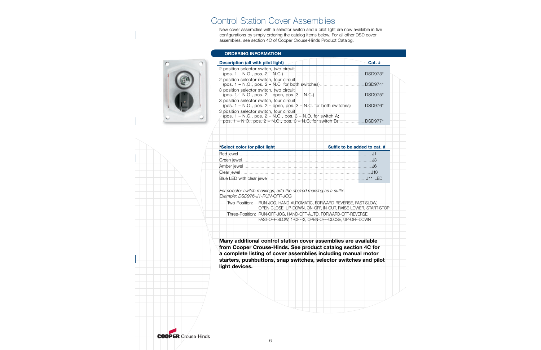# Control Station Cover Assemblies

New cover assemblies with a selector switch and a pilot light are now available in five configurations by simply ordering the catalog items below. For all other DSD cover assemblies, see section 4C of Cooper Crouse-Hinds Product Catalog.

### **ORDERING INFORMATION**

| Cat. #                                                                      |
|-----------------------------------------------------------------------------|
| $DSD973*$                                                                   |
| $DSD974*$                                                                   |
| DSD975*                                                                     |
| $(pos. 1 - N.O., pos. 2 - open, pos. 3 - N.C.$ for both switches<br>DSD976* |
|                                                                             |
| $DSD977*$                                                                   |
|                                                                             |

| *Select color for pilot light | Suffix to be added to cat. # |
|-------------------------------|------------------------------|
|                               |                              |
|                               |                              |
|                               |                              |
|                               |                              |
|                               |                              |

*For selector switch markings, add the desired marking as a suffix. Example: DSD976-J1-RUN-OFF-JOG* 

| Two-Position: I | RUN-JOG, HAND-AUTOMATIC, FORWARD-REVERSE, FAST-SLOW,             |
|-----------------|------------------------------------------------------------------|
|                 |                                                                  |
|                 | OPEN-CLOSE, UP-DOWN, ON-OFF, IN-OUT, RAISE-LOWER, START-STOP     |
|                 | Three-Position: RUN-OFF-JOG, HAND-OFF-AUTO, FORWARD-OFF-REVERSE, |
|                 | FAST-OFF-SLOW, 1-OFF-2, OPEN-OFF-CLOSE, UP-OFF-DOWN              |

**Many additional control station cover assemblies are available from Cooper Crouse-Hinds. See product catalog section 4C for a complete listing of cover assemblies including manual motor starters, pushbuttons, snap switches, selector switches and pilot light devices.**